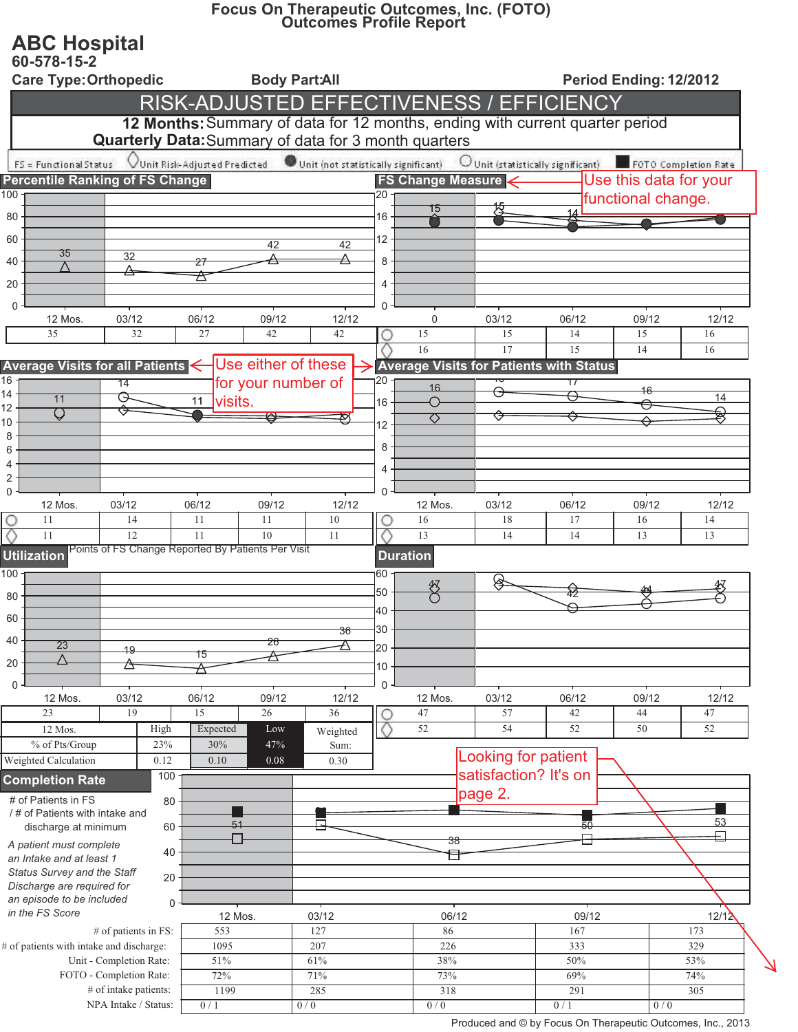## Focus On Therapeutic Outcomes, Inc. (FOTO)<br>Outcomes Profile Report

## **ABC Hospital**

| 60-578-15-2<br><b>Care Type: Orthopedic</b>                                                                                                                                                                                 |                            |                                 |                                                    |             | <b>Body Part:All</b> |                 |                          |                                                                              |               |             | Period Ending: 12/2012 |  |  |  |
|-----------------------------------------------------------------------------------------------------------------------------------------------------------------------------------------------------------------------------|----------------------------|---------------------------------|----------------------------------------------------|-------------|----------------------|-----------------|--------------------------|------------------------------------------------------------------------------|---------------|-------------|------------------------|--|--|--|
|                                                                                                                                                                                                                             |                            |                                 |                                                    |             |                      |                 |                          | RISK-ADJUSTED EFFECTIVENESS / EFFICIENCY                                     |               |             |                        |  |  |  |
|                                                                                                                                                                                                                             |                            |                                 |                                                    |             |                      |                 |                          | 12 Months: Summary of data for 12 months, ending with current quarter period |               |             |                        |  |  |  |
| <b>Quarterly Data:</b> Summary of data for 3 month quarters                                                                                                                                                                 |                            |                                 |                                                    |             |                      |                 |                          |                                                                              |               |             |                        |  |  |  |
| Unit Risk-Adjusted Predicted<br>Unit (not statistically significant)<br>Unit (statistically significant) FOTO Completion Rate<br>FS = Functional Status<br><b>Percentile Ranking of FS Change</b><br>Use this data for your |                            |                                 |                                                    |             |                      |                 |                          |                                                                              |               |             |                        |  |  |  |
| 100                                                                                                                                                                                                                         |                            |                                 |                                                    |             |                      | ı20             | <b>FS Change Measure</b> |                                                                              |               |             | functional change.     |  |  |  |
| 80                                                                                                                                                                                                                          |                            |                                 |                                                    |             |                      | 16              | 15                       |                                                                              |               |             |                        |  |  |  |
| 60                                                                                                                                                                                                                          |                            |                                 |                                                    |             |                      | 12              |                          |                                                                              |               |             |                        |  |  |  |
| 35<br>40                                                                                                                                                                                                                    |                            | $\overline{32}$                 | 27                                                 | 42          | 42<br>△              | 8               |                          |                                                                              |               |             |                        |  |  |  |
|                                                                                                                                                                                                                             |                            |                                 | 峹                                                  |             |                      |                 |                          |                                                                              |               |             |                        |  |  |  |
| 20                                                                                                                                                                                                                          |                            |                                 |                                                    |             |                      | 4               |                          |                                                                              |               |             |                        |  |  |  |
| $\Omega$<br>12 Mos.                                                                                                                                                                                                         |                            | 03/12                           | 06/12                                              | 09/12       | 12/12                | $\Omega$        | $\mathbf 0$              | 03/12                                                                        | 06/12         | 09/12       | 12/12                  |  |  |  |
| 35                                                                                                                                                                                                                          |                            | 32                              | 27                                                 | 42          | 42                   | О               | 15                       | 15                                                                           | 14            | 15          | 16                     |  |  |  |
|                                                                                                                                                                                                                             |                            |                                 |                                                    |             |                      |                 | 16                       | 17                                                                           | 15            | 14          | 16                     |  |  |  |
| Use either of these<br>Average Visits for Patients with Status<br>Average Visits for all Patients<br>$\overline{16}$<br>20<br>for your number of                                                                            |                            |                                 |                                                    |             |                      |                 |                          |                                                                              |               |             |                        |  |  |  |
| 14<br>11                                                                                                                                                                                                                    |                            | $\overline{14}$<br><del>⊙</del> | 11                                                 |             |                      |                 | 16<br>∩                  |                                                                              | 17            | 46          | 14                     |  |  |  |
| 12<br>Q                                                                                                                                                                                                                     |                            | ⇔                               | visits.                                            |             |                      | 16              | ឃ                        | ⇔                                                                            |               |             | ₹                      |  |  |  |
| 10<br>8                                                                                                                                                                                                                     |                            |                                 |                                                    |             |                      | 12              |                          |                                                                              |               |             |                        |  |  |  |
| 6                                                                                                                                                                                                                           |                            |                                 |                                                    |             |                      | 8               |                          |                                                                              |               |             |                        |  |  |  |
| 4<br>$\overline{c}$                                                                                                                                                                                                         |                            |                                 |                                                    |             |                      | 4               |                          |                                                                              |               |             |                        |  |  |  |
| $\mathbf 0$                                                                                                                                                                                                                 |                            |                                 |                                                    |             |                      | $\Omega$        |                          |                                                                              |               |             |                        |  |  |  |
| 12 Mos.<br>11                                                                                                                                                                                                               |                            | 03/12<br>14                     | 06/12<br>11                                        | 09/12<br>11 | 12/12<br>10          |                 | 12 Mos.<br>16            | 03/12<br>18                                                                  | 06/12<br>17   | 09/12<br>16 | 12/12<br>14            |  |  |  |
| 11                                                                                                                                                                                                                          |                            | 12                              | 11                                                 | 10          | 11                   |                 | 13                       | 14                                                                           | 14            | 13          | 13                     |  |  |  |
| <b>Utilization</b>                                                                                                                                                                                                          |                            |                                 | Points of FS Change Reported By Patients Per Visit |             |                      | <b>Duration</b> |                          |                                                                              |               |             |                        |  |  |  |
| 100                                                                                                                                                                                                                         |                            |                                 |                                                    |             |                      | 60              |                          |                                                                              |               |             |                        |  |  |  |
| 80                                                                                                                                                                                                                          |                            |                                 |                                                    |             |                      | 50              | 努                        | ⊗                                                                            |               |             |                        |  |  |  |
| 60                                                                                                                                                                                                                          |                            |                                 |                                                    |             |                      | 40              |                          |                                                                              |               |             |                        |  |  |  |
| 40                                                                                                                                                                                                                          |                            |                                 |                                                    |             | 36                   | 30              |                          |                                                                              |               |             |                        |  |  |  |
| 23                                                                                                                                                                                                                          |                            | 19                              | 15                                                 | ∠o          |                      | 20              |                          |                                                                              |               |             |                        |  |  |  |
| 20                                                                                                                                                                                                                          |                            |                                 |                                                    |             |                      | 10              |                          |                                                                              |               |             |                        |  |  |  |
| $\Omega$<br>12 Mos.                                                                                                                                                                                                         |                            | 03/12                           | 06/12                                              | 09/12       | 12/12                | 0               | 12 Mos.                  | 03/12                                                                        | 06/12         | 09/12       | 12/12                  |  |  |  |
| 23                                                                                                                                                                                                                          |                            | 19                              | 15                                                 | 26          | 36                   | O               | 47                       | 57                                                                           | 42            | 44          | 47                     |  |  |  |
| 12 Mos.                                                                                                                                                                                                                     |                            | High                            | Expected                                           | Low         | Weighted             | $\circ$         | 52                       | 54                                                                           | 52            | 50          | 52                     |  |  |  |
| % of Pts/Group<br>Weighted Calculation                                                                                                                                                                                      |                            | 23%<br>0.12                     | 30%<br>$0.10\,$                                    | 47%<br>0.08 | Sum:<br>0.30         |                 |                          | Looking for patient                                                          |               |             |                        |  |  |  |
| <b>Completion Rate</b>                                                                                                                                                                                                      |                            | 100                             |                                                    |             |                      |                 |                          | satisfaction? It's on                                                        |               |             |                        |  |  |  |
| # of Patients in FS<br>80                                                                                                                                                                                                   |                            |                                 |                                                    |             |                      |                 |                          | page 2.                                                                      |               |             |                        |  |  |  |
| / # of Patients with intake and                                                                                                                                                                                             |                            |                                 |                                                    |             |                      |                 |                          |                                                                              |               |             |                        |  |  |  |
| discharge at minimum<br>60                                                                                                                                                                                                  |                            |                                 |                                                    |             |                      |                 |                          |                                                                              | 53<br>50<br>口 |             |                        |  |  |  |
| A patient must complete<br>40<br>an Intake and at least 1                                                                                                                                                                   |                            |                                 |                                                    |             |                      | 38              |                          |                                                                              |               |             |                        |  |  |  |
| Status Survey and the Staff<br>20                                                                                                                                                                                           |                            |                                 |                                                    |             |                      |                 |                          |                                                                              |               |             |                        |  |  |  |
|                                                                                                                                                                                                                             | Discharge are required for |                                 |                                                    |             |                      |                 |                          |                                                                              |               |             |                        |  |  |  |
| an episode to be included<br>$\Omega$<br>in the FS Score                                                                                                                                                                    |                            |                                 | 12 Mos.                                            |             | 03/12                |                 | 06/12                    |                                                                              | 09/12         |             | 12/12                  |  |  |  |
| # of patients in FS:                                                                                                                                                                                                        |                            |                                 | 553                                                |             | 127                  |                 | 86                       |                                                                              | 167           |             | 173                    |  |  |  |
| # of patients with intake and discharge:                                                                                                                                                                                    |                            |                                 | 1095                                               |             | 207                  |                 | 226                      |                                                                              | 333           |             | 329                    |  |  |  |
| Unit - Completion Rate:<br>FOTO - Completion Rate:                                                                                                                                                                          |                            |                                 | $51\%$<br>72%                                      |             | 61%<br>71%           |                 | 38%<br>73%               |                                                                              | 50%<br>69%    |             | 53%<br>74%             |  |  |  |
|                                                                                                                                                                                                                             |                            | # of intake patients:           | 1199                                               |             | 285                  |                 |                          | 318                                                                          |               |             | 305                    |  |  |  |
| NPA Intake / Status:                                                                                                                                                                                                        |                            |                                 | 0/1                                                |             | 0/0                  |                 | 0/0                      |                                                                              | 0/1           |             | 0/0                    |  |  |  |

 $\overline{\mathcal{L}}$